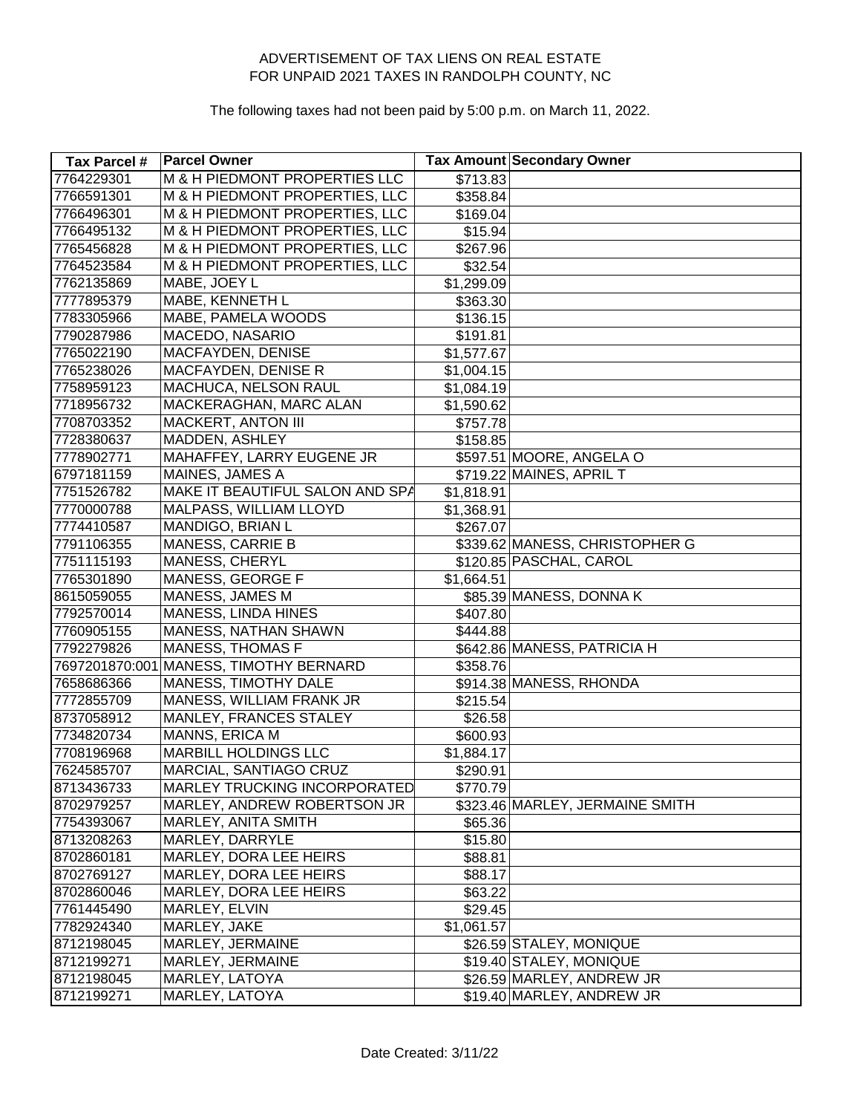| <b>Tax Parcel #</b> | <b>Parcel Owner</b>                    |            | <b>Tax Amount Secondary Owner</b> |
|---------------------|----------------------------------------|------------|-----------------------------------|
| 7764229301          | M & H PIEDMONT PROPERTIES LLC          | \$713.83   |                                   |
| 7766591301          | M & H PIEDMONT PROPERTIES, LLC         | \$358.84   |                                   |
| 7766496301          | M & H PIEDMONT PROPERTIES, LLC         | \$169.04   |                                   |
| 7766495132          | M & H PIEDMONT PROPERTIES, LLC         | \$15.94    |                                   |
| 7765456828          | M & H PIEDMONT PROPERTIES, LLC         | \$267.96   |                                   |
| 7764523584          | M & H PIEDMONT PROPERTIES, LLC         | \$32.54    |                                   |
| 7762135869          | MABE, JOEY L                           | \$1,299.09 |                                   |
| 7777895379          | MABE, KENNETH L                        | \$363.30   |                                   |
| 7783305966          | MABE, PAMELA WOODS                     | \$136.15   |                                   |
| 7790287986          | MACEDO, NASARIO                        | \$191.81   |                                   |
| 7765022190          | <b>MACFAYDEN, DENISE</b>               | \$1,577.67 |                                   |
| 7765238026          | MACFAYDEN, DENISE R                    | \$1,004.15 |                                   |
| 7758959123          | MACHUCA, NELSON RAUL                   | \$1,084.19 |                                   |
| 7718956732          | MACKERAGHAN, MARC ALAN                 | \$1,590.62 |                                   |
| 7708703352          | <b>MACKERT, ANTON III</b>              | \$757.78   |                                   |
| 7728380637          | MADDEN, ASHLEY                         | \$158.85   |                                   |
| 7778902771          | MAHAFFEY, LARRY EUGENE JR              |            | \$597.51 MOORE, ANGELA O          |
| 6797181159          | MAINES, JAMES A                        |            | \$719.22 MAINES, APRIL T          |
| 7751526782          | MAKE IT BEAUTIFUL SALON AND SPA        | \$1,818.91 |                                   |
| 7770000788          | MALPASS, WILLIAM LLOYD                 | \$1,368.91 |                                   |
| 7774410587          | MANDIGO, BRIAN L                       | \$267.07   |                                   |
| 7791106355          | <b>MANESS, CARRIE B</b>                |            | \$339.62 MANESS, CHRISTOPHER G    |
| 7751115193          | MANESS, CHERYL                         |            | \$120.85 PASCHAL, CAROL           |
| 7765301890          | MANESS, GEORGE F                       | \$1,664.51 |                                   |
| 8615059055          | MANESS, JAMES M                        |            | \$85.39 MANESS, DONNA K           |
| 7792570014          | <b>MANESS, LINDA HINES</b>             | \$407.80   |                                   |
| 7760905155          | MANESS, NATHAN SHAWN                   | \$444.88   |                                   |
| 7792279826          | <b>MANESS, THOMAS F</b>                |            | \$642.86 MANESS, PATRICIA H       |
|                     | 7697201870:001 MANESS, TIMOTHY BERNARD | \$358.76   |                                   |
| 7658686366          | MANESS, TIMOTHY DALE                   |            | \$914.38 MANESS, RHONDA           |
| 7772855709          | <b>MANESS, WILLIAM FRANK JR</b>        | \$215.54   |                                   |
| 8737058912          | MANLEY, FRANCES STALEY                 | \$26.58    |                                   |
| 7734820734          | MANNS, ERICA M                         | \$600.93   |                                   |
| 7708196968          | <b>MARBILL HOLDINGS LLC</b>            | \$1,884.17 |                                   |
| 7624585707          | MARCIAL, SANTIAGO CRUZ                 | \$290.91   |                                   |
| 8713436733          | MARLEY TRUCKING INCORPORATED           | \$770.79   |                                   |
| 8702979257          | MARLEY, ANDREW ROBERTSON JR            |            | \$323.46 MARLEY, JERMAINE SMITH   |
| 7754393067          | MARLEY, ANITA SMITH                    | \$65.36    |                                   |
| 8713208263          | MARLEY, DARRYLE                        | \$15.80    |                                   |
| 8702860181          | MARLEY, DORA LEE HEIRS                 | \$88.81    |                                   |
| 8702769127          | MARLEY, DORA LEE HEIRS                 | \$88.17    |                                   |
| 8702860046          | MARLEY, DORA LEE HEIRS                 | \$63.22    |                                   |
| 7761445490          | MARLEY, ELVIN                          | \$29.45    |                                   |
| 7782924340          | MARLEY, JAKE                           | \$1,061.57 |                                   |
| 8712198045          | MARLEY, JERMAINE                       |            | \$26.59 STALEY, MONIQUE           |
| 8712199271          | MARLEY, JERMAINE                       |            | \$19.40 STALEY, MONIQUE           |
| 8712198045          | MARLEY, LATOYA                         |            | \$26.59 MARLEY, ANDREW JR         |
| 8712199271          | MARLEY, LATOYA                         |            | \$19.40 MARLEY, ANDREW JR         |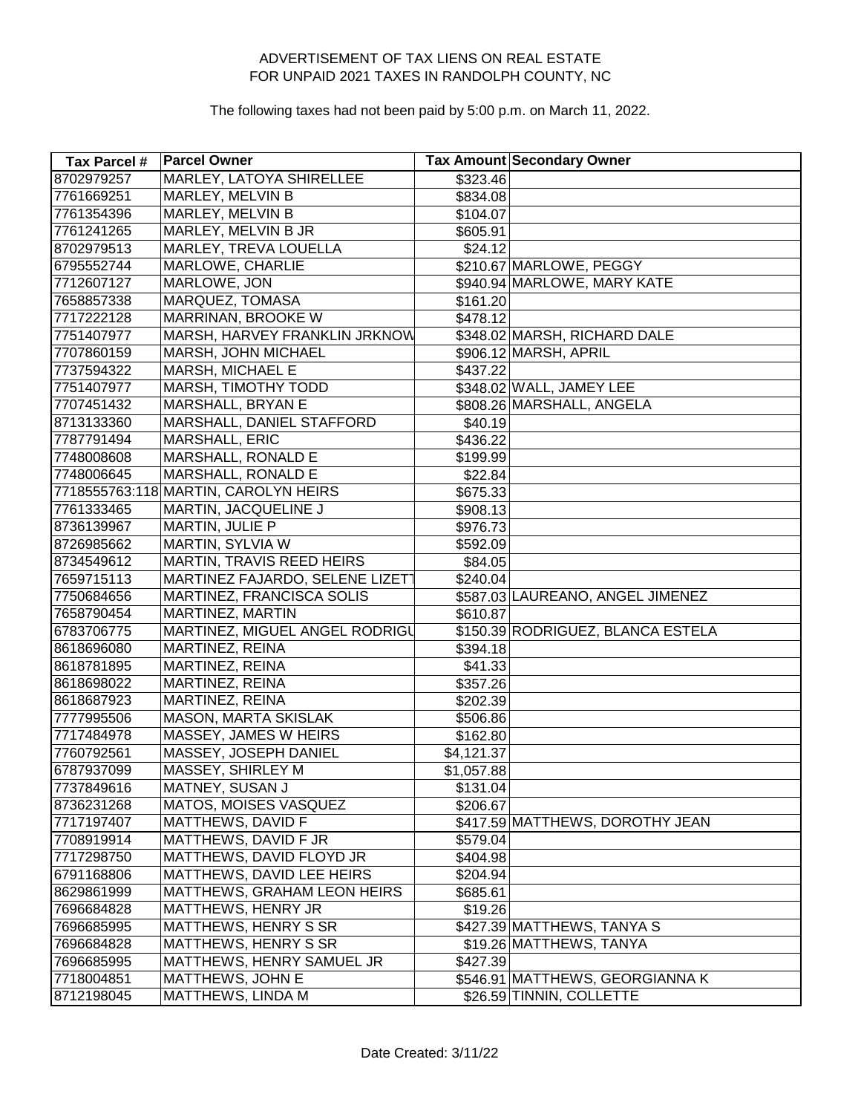| Tax Parcel # | <b>Parcel Owner</b>                  |            | Tax Amount Secondary Owner        |
|--------------|--------------------------------------|------------|-----------------------------------|
| 8702979257   | <b>MARLEY, LATOYA SHIRELLEE</b>      | \$323.46   |                                   |
| 7761669251   | <b>MARLEY, MELVIN B</b>              | \$834.08   |                                   |
| 7761354396   | MARLEY, MELVIN B                     | \$104.07   |                                   |
| 7761241265   | MARLEY, MELVIN B JR                  | \$605.91   |                                   |
| 8702979513   | MARLEY, TREVA LOUELLA                | \$24.12    |                                   |
| 6795552744   | MARLOWE, CHARLIE                     |            | \$210.67 MARLOWE, PEGGY           |
| 7712607127   | MARLOWE, JON                         |            | \$940.94 MARLOWE, MARY KATE       |
| 7658857338   | MARQUEZ, TOMASA                      | \$161.20   |                                   |
| 7717222128   | MARRINAN, BROOKE W                   | \$478.12   |                                   |
| 7751407977   | MARSH, HARVEY FRANKLIN JRKNOW        |            | \$348.02 MARSH, RICHARD DALE      |
| 7707860159   | MARSH, JOHN MICHAEL                  |            | \$906.12 MARSH, APRIL             |
| 7737594322   | MARSH, MICHAEL E                     | \$437.22   |                                   |
| 7751407977   | MARSH, TIMOTHY TODD                  |            | \$348.02 WALL, JAMEY LEE          |
| 7707451432   | MARSHALL, BRYAN E                    |            | \$808.26 MARSHALL, ANGELA         |
| 8713133360   | MARSHALL, DANIEL STAFFORD            | \$40.19    |                                   |
| 7787791494   | <b>MARSHALL, ERIC</b>                | \$436.22   |                                   |
| 7748008608   | MARSHALL, RONALD E                   | \$199.99   |                                   |
| 7748006645   | MARSHALL, RONALD E                   | \$22.84    |                                   |
|              | 7718555763:118 MARTIN, CAROLYN HEIRS | \$675.33   |                                   |
| 7761333465   | MARTIN, JACQUELINE J                 | \$908.13   |                                   |
| 8736139967   | MARTIN, JULIE P                      | \$976.73   |                                   |
| 8726985662   | MARTIN, SYLVIA W                     | \$592.09   |                                   |
| 8734549612   | MARTIN, TRAVIS REED HEIRS            | \$84.05    |                                   |
| 7659715113   | MARTINEZ FAJARDO, SELENE LIZETT      | \$240.04]  |                                   |
| 7750684656   | MARTINEZ, FRANCISCA SOLIS            |            | \$587.03 LAUREANO, ANGEL JIMENEZ  |
| 7658790454   | MARTINEZ, MARTIN                     | \$610.87   |                                   |
| 6783706775   | MARTINEZ, MIGUEL ANGEL RODRIGU       |            | \$150.39 RODRIGUEZ, BLANCA ESTELA |
| 8618696080   | MARTINEZ, REINA                      | \$394.18   |                                   |
| 8618781895   | MARTINEZ, REINA                      | \$41.33    |                                   |
| 8618698022   | MARTINEZ, REINA                      | \$357.26   |                                   |
| 8618687923   | MARTINEZ, REINA                      | \$202.39   |                                   |
| 7777995506   | <b>MASON, MARTA SKISLAK</b>          | \$506.86   |                                   |
| 7717484978   | MASSEY, JAMES W HEIRS                | \$162.80   |                                   |
| 7760792561   | MASSEY, JOSEPH DANIEL                | \$4,121.37 |                                   |
| 6787937099   | MASSEY, SHIRLEY M                    | \$1,057.88 |                                   |
| 7737849616   | MATNEY, SUSAN J                      | \$131.04   |                                   |
| 8736231268   | MATOS, MOISES VASQUEZ                | \$206.67   |                                   |
| 7717197407   | MATTHEWS, DAVID F                    |            | \$417.59 MATTHEWS, DOROTHY JEAN   |
| 7708919914   | MATTHEWS, DAVID F JR                 | \$579.04   |                                   |
| 7717298750   | MATTHEWS, DAVID FLOYD JR             | \$404.98   |                                   |
| 6791168806   | MATTHEWS, DAVID LEE HEIRS            | \$204.94]  |                                   |
| 8629861999   | MATTHEWS, GRAHAM LEON HEIRS          | \$685.61   |                                   |
| 7696684828   | <b>MATTHEWS, HENRY JR</b>            | \$19.26    |                                   |
| 7696685995   | <b>MATTHEWS, HENRY S SR</b>          |            | \$427.39 MATTHEWS, TANYA S        |
| 7696684828   | <b>MATTHEWS, HENRY S SR</b>          |            | \$19.26 MATTHEWS, TANYA           |
| 7696685995   | MATTHEWS, HENRY SAMUEL JR            | \$427.39   |                                   |
| 7718004851   | MATTHEWS, JOHN E                     |            | \$546.91 MATTHEWS, GEORGIANNA K   |
| 8712198045   | MATTHEWS, LINDA M                    |            | \$26.59 TINNIN, COLLETTE          |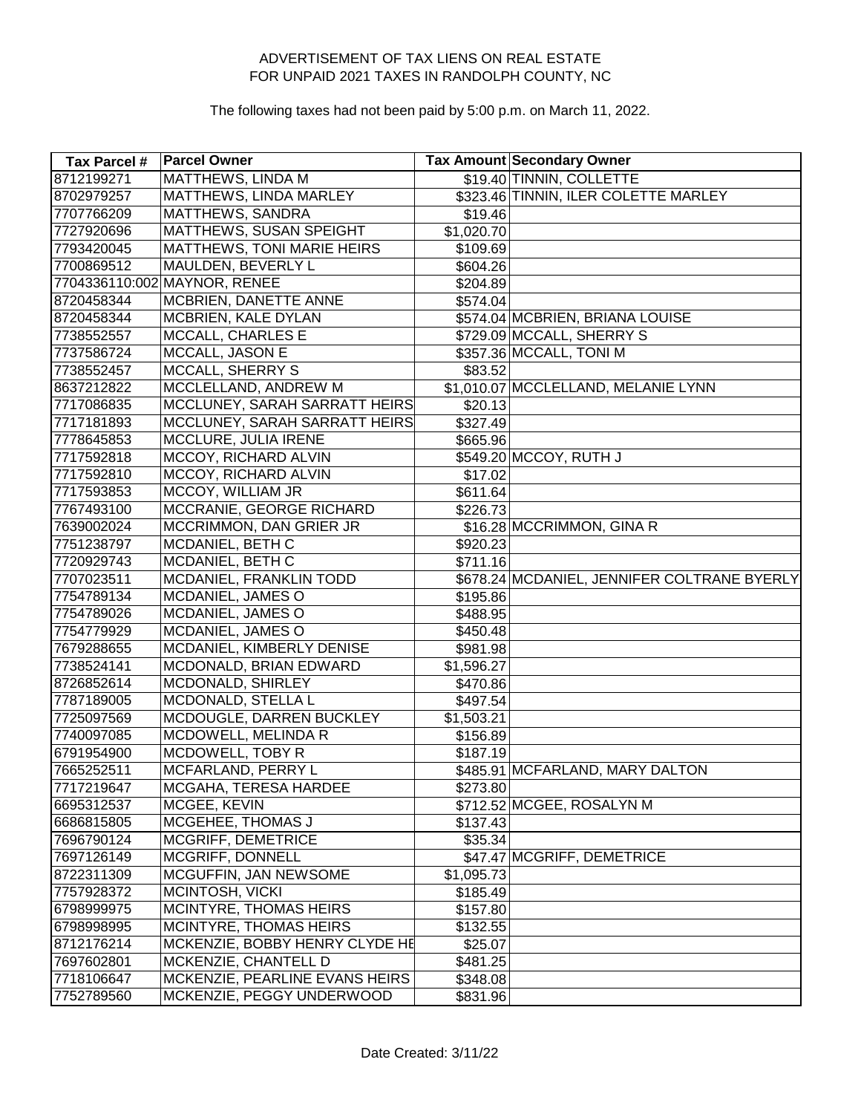| Tax Parcel # | <b>Parcel Owner</b>            |                      | Tax Amount Secondary Owner                  |
|--------------|--------------------------------|----------------------|---------------------------------------------|
| 8712199271   | <b>MATTHEWS, LINDA M</b>       |                      | \$19.40 TINNIN, COLLETTE                    |
| 8702979257   | <b>MATTHEWS, LINDA MARLEY</b>  |                      | \$323.46 TINNIN, ILER COLETTE MARLEY        |
| 7707766209   | MATTHEWS, SANDRA               | \$19.46              |                                             |
| 7727920696   | <b>MATTHEWS, SUSAN SPEIGHT</b> | \$1,020.70           |                                             |
| 7793420045   | MATTHEWS, TONI MARIE HEIRS     | \$109.69             |                                             |
| 7700869512   | MAULDEN, BEVERLY L             | \$604.26             |                                             |
|              | 7704336110:002 MAYNOR, RENEE   | \$204.89             |                                             |
| 8720458344   | MCBRIEN, DANETTE ANNE          | \$574.04]            |                                             |
| 8720458344   | MCBRIEN, KALE DYLAN            |                      | \$574.04 MCBRIEN, BRIANA LOUISE             |
| 7738552557   | MCCALL, CHARLES E              |                      | \$729.09 MCCALL, SHERRY S                   |
| 7737586724   | MCCALL, JASON E                |                      | \$357.36 MCCALL, TONI M                     |
| 7738552457   | <b>MCCALL, SHERRY S</b>        | \$83.52              |                                             |
| 8637212822   | MCCLELLAND, ANDREW M           |                      | \$1,010.07 MCCLELLAND, MELANIE LYNN         |
| 7717086835   | MCCLUNEY, SARAH SARRATT HEIRS  | \$20.13              |                                             |
| 7717181893   | MCCLUNEY, SARAH SARRATT HEIRS  | $\overline{$}327.49$ |                                             |
| 7778645853   | MCCLURE, JULIA IRENE           | \$665.96             |                                             |
| 7717592818   | MCCOY, RICHARD ALVIN           |                      | \$549.20 MCCOY, RUTH J                      |
| 7717592810   | MCCOY, RICHARD ALVIN           | \$17.02              |                                             |
| 7717593853   | MCCOY, WILLIAM JR              | \$611.64             |                                             |
| 7767493100   | MCCRANIE, GEORGE RICHARD       | \$226.73             |                                             |
| 7639002024   | MCCRIMMON, DAN GRIER JR        |                      | \$16.28 MCCRIMMON, GINA R                   |
| 7751238797   | MCDANIEL, BETH C               | \$920.23             |                                             |
| 7720929743   | MCDANIEL, BETH C               | \$711.16             |                                             |
| 7707023511   | MCDANIEL, FRANKLIN TODD        |                      | \$678.24 MCDANIEL, JENNIFER COLTRANE BYERLY |
| 7754789134   | MCDANIEL, JAMES O              | \$195.86             |                                             |
| 7754789026   | MCDANIEL, JAMES O              | \$488.95             |                                             |
| 7754779929   | MCDANIEL, JAMES O              | \$450.48             |                                             |
| 7679288655   | MCDANIEL, KIMBERLY DENISE      | \$981.98             |                                             |
| 7738524141   | MCDONALD, BRIAN EDWARD         | \$1,596.27           |                                             |
| 8726852614   | MCDONALD, SHIRLEY              | \$470.86             |                                             |
| 7787189005   | MCDONALD, STELLA L             | \$497.54             |                                             |
| 7725097569   | MCDOUGLE, DARREN BUCKLEY       | \$1,503.21           |                                             |
| 7740097085   | MCDOWELL, MELINDA R            | \$156.89             |                                             |
| 6791954900   | MCDOWELL, TOBY R               | \$187.19             |                                             |
| 7665252511   | MCFARLAND, PERRY L             |                      | \$485.91 MCFARLAND, MARY DALTON             |
| 7717219647   | MCGAHA, TERESA HARDEE          | \$273.80             |                                             |
| 6695312537   | MCGEE, KEVIN                   |                      | \$712.52 MCGEE, ROSALYN M                   |
| 6686815805   | MCGEHEE, THOMAS J              | \$137.43             |                                             |
| 7696790124   | MCGRIFF, DEMETRICE             | \$35.34              |                                             |
| 7697126149   | MCGRIFF, DONNELL               |                      | \$47.47 MCGRIFF, DEMETRICE                  |
| 8722311309   | MCGUFFIN, JAN NEWSOME          | \$1,095.73           |                                             |
| 7757928372   | MCINTOSH, VICKI                | \$185.49             |                                             |
| 6798999975   | MCINTYRE, THOMAS HEIRS         | \$157.80             |                                             |
| 6798998995   | MCINTYRE, THOMAS HEIRS         | \$132.55             |                                             |
| 8712176214   | MCKENZIE, BOBBY HENRY CLYDE HE | \$25.07              |                                             |
| 7697602801   | MCKENZIE, CHANTELL D           | \$481.25             |                                             |
| 7718106647   | MCKENZIE, PEARLINE EVANS HEIRS | \$348.08             |                                             |
| 7752789560   | MCKENZIE, PEGGY UNDERWOOD      | \$831.96             |                                             |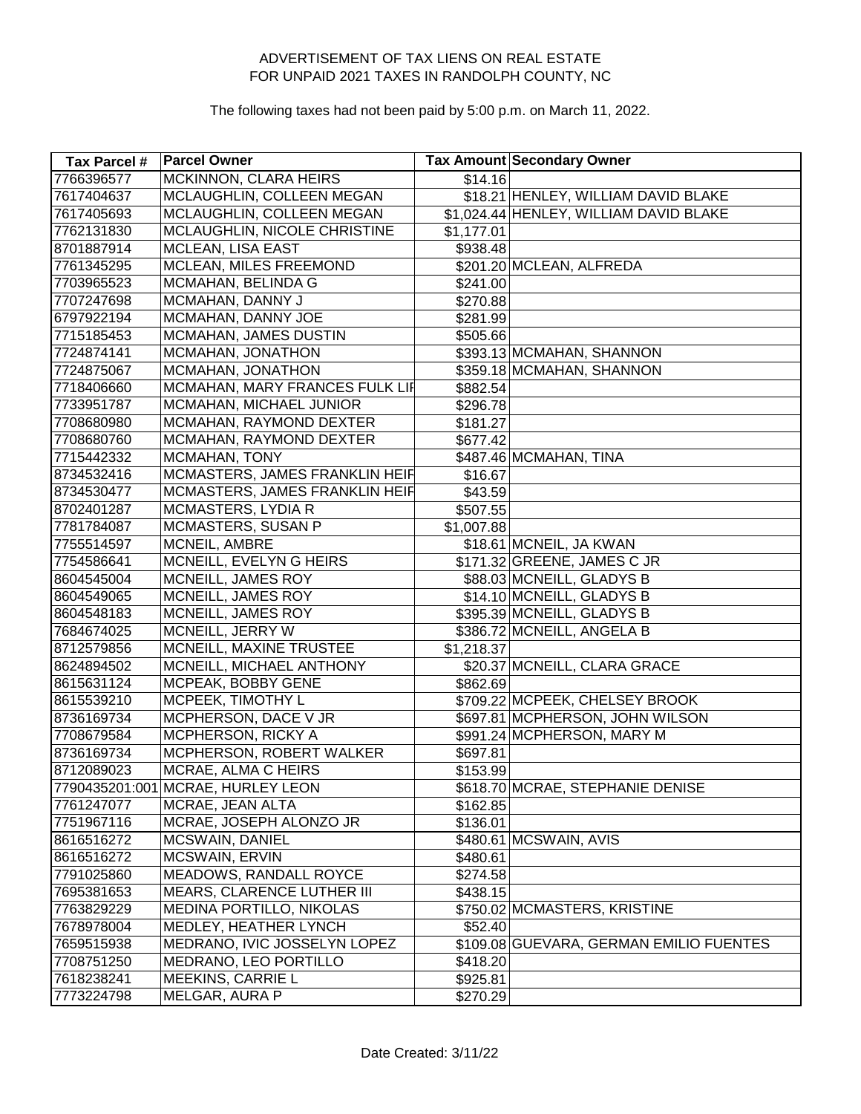| <b>Tax Parcel #</b> | <b>Parcel Owner</b>               |            | <b>Tax Amount Secondary Owner</b>       |
|---------------------|-----------------------------------|------------|-----------------------------------------|
| 7766396577          | <b>MCKINNON, CLARA HEIRS</b>      | \$14.16    |                                         |
| 7617404637          | MCLAUGHLIN, COLLEEN MEGAN         |            | \$18.21 HENLEY, WILLIAM DAVID BLAKE     |
| 7617405693          | MCLAUGHLIN, COLLEEN MEGAN         |            | \$1,024.44 HENLEY, WILLIAM DAVID BLAKE  |
| 7762131830          | MCLAUGHLIN, NICOLE CHRISTINE      | \$1,177.01 |                                         |
| 8701887914          | <b>MCLEAN, LISA EAST</b>          | \$938.48   |                                         |
| 7761345295          | MCLEAN, MILES FREEMOND            |            | \$201.20 MCLEAN, ALFREDA                |
| 7703965523          | MCMAHAN, BELINDA G                | \$241.00   |                                         |
| 7707247698          | MCMAHAN, DANNY J                  | \$270.88   |                                         |
| 6797922194          | MCMAHAN, DANNY JOE                | \$281.99   |                                         |
| 7715185453          | MCMAHAN, JAMES DUSTIN             | \$505.66   |                                         |
| 7724874141          | MCMAHAN, JONATHON                 |            | \$393.13 MCMAHAN, SHANNON               |
| 7724875067          | MCMAHAN, JONATHON                 |            | \$359.18 MCMAHAN, SHANNON               |
| 7718406660          | MCMAHAN, MARY FRANCES FULK LIF    | \$882.54   |                                         |
| 7733951787          | MCMAHAN, MICHAEL JUNIOR           | \$296.78   |                                         |
| 7708680980          | MCMAHAN, RAYMOND DEXTER           | \$181.27   |                                         |
| 7708680760          | MCMAHAN, RAYMOND DEXTER           | \$677.42   |                                         |
| 7715442332          | MCMAHAN, TONY                     |            | \$487.46 MCMAHAN, TINA                  |
| 8734532416          | MCMASTERS, JAMES FRANKLIN HEIF    | \$16.67    |                                         |
| 8734530477          | MCMASTERS, JAMES FRANKLIN HEIF    | \$43.59    |                                         |
| 8702401287          | <b>MCMASTERS, LYDIA R</b>         | \$507.55   |                                         |
| 7781784087          | MCMASTERS, SUSAN P                | \$1,007.88 |                                         |
| 7755514597          | MCNEIL, AMBRE                     |            | \$18.61 MCNEIL, JA KWAN                 |
| 7754586641          | MCNEILL, EVELYN G HEIRS           |            | \$171.32 GREENE, JAMES C JR             |
| 8604545004          | MCNEILL, JAMES ROY                |            | \$88.03 MCNEILL, GLADYS B               |
| 8604549065          | MCNEILL, JAMES ROY                |            | \$14.10 MCNEILL, GLADYS B               |
| 8604548183          | MCNEILL, JAMES ROY                |            | \$395.39 MCNEILL, GLADYS B              |
| 7684674025          | MCNEILL, JERRY W                  |            | \$386.72 MCNEILL, ANGELA B              |
| 8712579856          | MCNEILL, MAXINE TRUSTEE           | \$1,218.37 |                                         |
| 8624894502          | MCNEILL, MICHAEL ANTHONY          |            | \$20.37 MCNEILL, CLARA GRACE            |
| 8615631124          | MCPEAK, BOBBY GENE                | \$862.69   |                                         |
| 8615539210          | MCPEEK, TIMOTHY L                 |            | \$709.22 MCPEEK, CHELSEY BROOK          |
| 8736169734          | MCPHERSON, DACE V JR              |            | \$697.81 MCPHERSON, JOHN WILSON         |
| 7708679584          | MCPHERSON, RICKY A                |            | \$991.24 MCPHERSON, MARY M              |
| 8736169734          | MCPHERSON, ROBERT WALKER          | \$697.81   |                                         |
| 8712089023          | MCRAE, ALMA C HEIRS               | \$153.99   |                                         |
|                     | 7790435201:001 MCRAE, HURLEY LEON |            | \$618.70 MCRAE, STEPHANIE DENISE        |
| 7761247077          | MCRAE, JEAN ALTA                  | \$162.85   |                                         |
| 7751967116          | MCRAE, JOSEPH ALONZO JR           | \$136.01   |                                         |
| 8616516272          | <b>MCSWAIN, DANIEL</b>            |            | \$480.61 MCSWAIN, AVIS                  |
| 8616516272          | MCSWAIN, ERVIN                    | \$480.61   |                                         |
| 7791025860          | MEADOWS, RANDALL ROYCE            | \$274.58   |                                         |
| 7695381653          | <b>MEARS, CLARENCE LUTHER III</b> | \$438.15   |                                         |
| 7763829229          | MEDINA PORTILLO, NIKOLAS          |            | \$750.02 MCMASTERS, KRISTINE            |
| 7678978004          | MEDLEY, HEATHER LYNCH             | \$52.40    |                                         |
| 7659515938          | MEDRANO, IVIC JOSSELYN LOPEZ      |            | \$109.08 GUEVARA, GERMAN EMILIO FUENTES |
| 7708751250          | MEDRANO, LEO PORTILLO             | \$418.20   |                                         |
| 7618238241          | MEEKINS, CARRIE L                 | \$925.81   |                                         |
| 7773224798          | MELGAR, AURA P                    | \$270.29   |                                         |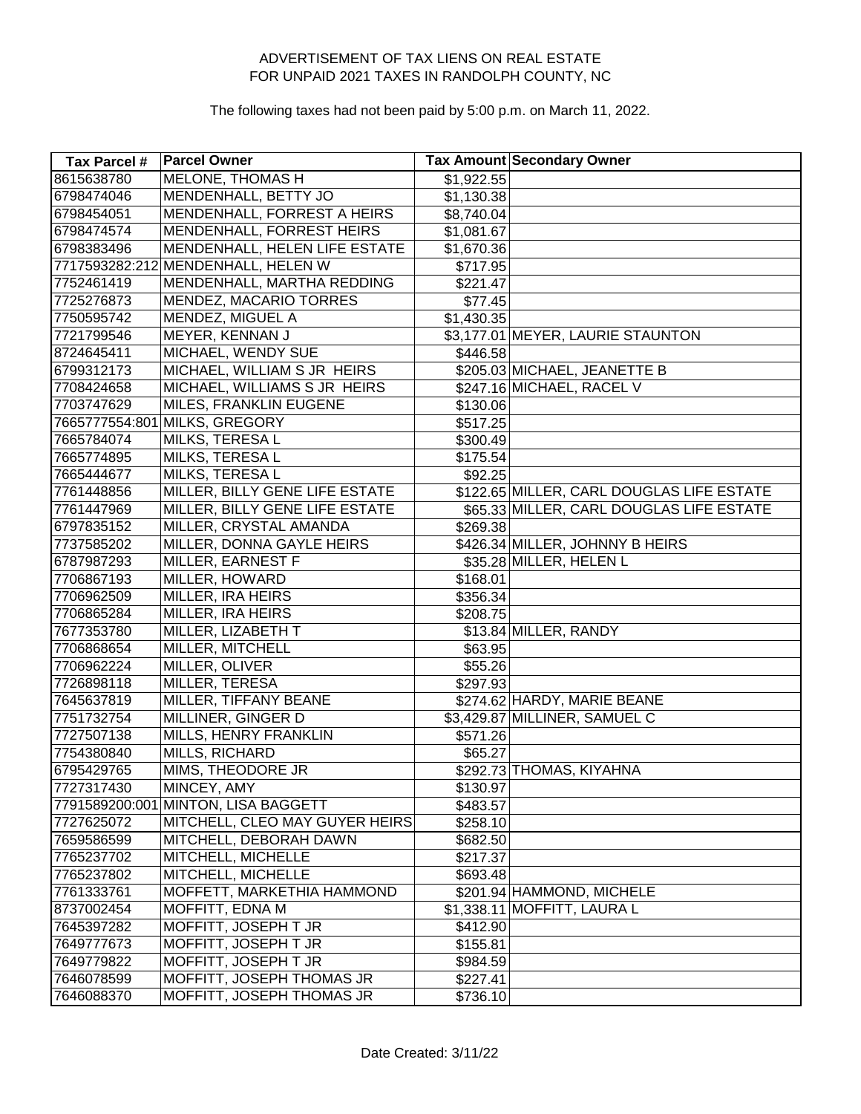| Tax Parcel # | <b>Parcel Owner</b>                 |            | Tax Amount Secondary Owner                |
|--------------|-------------------------------------|------------|-------------------------------------------|
| 8615638780   | <b>MELONE, THOMAS H</b>             | \$1,922.55 |                                           |
| 6798474046   | MENDENHALL, BETTY JO                | \$1,130.38 |                                           |
| 6798454051   | MENDENHALL, FORREST A HEIRS         | \$8,740.04 |                                           |
| 6798474574   | MENDENHALL, FORREST HEIRS           | \$1,081.67 |                                           |
| 6798383496   | MENDENHALL, HELEN LIFE ESTATE       | \$1,670.36 |                                           |
|              | 7717593282:212 MENDENHALL, HELEN W  | \$717.95   |                                           |
| 7752461419   | MENDENHALL, MARTHA REDDING          | \$221.47   |                                           |
| 7725276873   | MENDEZ, MACARIO TORRES              | \$77.45    |                                           |
| 7750595742   | MENDEZ, MIGUEL A                    | \$1,430.35 |                                           |
| 7721799546   | MEYER, KENNAN J                     |            | \$3,177.01 MEYER, LAURIE STAUNTON         |
| 8724645411   | MICHAEL, WENDY SUE                  | \$446.58   |                                           |
| 6799312173   | MICHAEL, WILLIAM S JR HEIRS         |            | \$205.03 MICHAEL, JEANETTE B              |
| 7708424658   | MICHAEL, WILLIAMS S JR HEIRS        |            | \$247.16 MICHAEL, RACEL V                 |
| 7703747629   | MILES, FRANKLIN EUGENE              | \$130.06   |                                           |
|              | 7665777554:801 MILKS, GREGORY       | \$517.25   |                                           |
| 7665784074   | MILKS, TERESA L                     | \$300.49   |                                           |
| 7665774895   | <b>MILKS, TERESA L</b>              | \$175.54   |                                           |
| 7665444677   | <b>MILKS, TERESAL</b>               | \$92.25    |                                           |
| 7761448856   | MILLER, BILLY GENE LIFE ESTATE      |            | \$122.65 MILLER, CARL DOUGLAS LIFE ESTATE |
| 7761447969   | MILLER, BILLY GENE LIFE ESTATE      |            | \$65.33 MILLER, CARL DOUGLAS LIFE ESTATE  |
| 6797835152   | MILLER, CRYSTAL AMANDA              | \$269.38   |                                           |
| 7737585202   | MILLER, DONNA GAYLE HEIRS           |            | \$426.34 MILLER, JOHNNY B HEIRS           |
| 6787987293   | MILLER, EARNEST F                   |            | \$35.28 MILLER, HELEN L                   |
| 7706867193   | MILLER, HOWARD                      | \$168.01   |                                           |
| 7706962509   | MILLER, IRA HEIRS                   | \$356.34   |                                           |
| 7706865284   | MILLER, IRA HEIRS                   | \$208.75   |                                           |
| 7677353780   | MILLER, LIZABETH T                  |            | \$13.84 MILLER, RANDY                     |
| 7706868654   | MILLER, MITCHELL                    | \$63.95    |                                           |
| 7706962224   | MILLER, OLIVER                      | \$55.26    |                                           |
| 7726898118   | MILLER, TERESA                      | \$297.93   |                                           |
| 7645637819   | MILLER, TIFFANY BEANE               |            | \$274.62 HARDY, MARIE BEANE               |
| 7751732754   | MILLINER, GINGER D                  |            | \$3,429.87 MILLINER, SAMUEL C             |
| 7727507138   | MILLS, HENRY FRANKLIN               | \$571.26   |                                           |
| 7754380840   | MILLS, RICHARD                      | \$65.27    |                                           |
| 6795429765   | MIMS, THEODORE JR                   |            | \$292.73 THOMAS, KIYAHNA                  |
| 7727317430   | MINCEY, AMY                         | \$130.97   |                                           |
|              | 7791589200:001 MINTON, LISA BAGGETT | \$483.57   |                                           |
| 7727625072   | MITCHELL, CLEO MAY GUYER HEIRS      | \$258.10   |                                           |
| 7659586599   | MITCHELL, DEBORAH DAWN              | \$682.50   |                                           |
| 7765237702   | MITCHELL, MICHELLE                  | \$217.37   |                                           |
| 7765237802   | MITCHELL, MICHELLE                  | \$693.48   |                                           |
| 7761333761   | MOFFETT, MARKETHIA HAMMOND          |            | \$201.94 HAMMOND, MICHELE                 |
| 8737002454   | MOFFITT, EDNA M                     |            | \$1,338.11 MOFFITT, LAURA L               |
| 7645397282   | MOFFITT, JOSEPH T JR                | \$412.90   |                                           |
| 7649777673   | MOFFITT, JOSEPH T JR                | \$155.81   |                                           |
| 7649779822   | MOFFITT, JOSEPH T JR                | \$984.59   |                                           |
| 7646078599   | MOFFITT, JOSEPH THOMAS JR           | \$227.41   |                                           |
| 7646088370   | MOFFITT, JOSEPH THOMAS JR           | \$736.10   |                                           |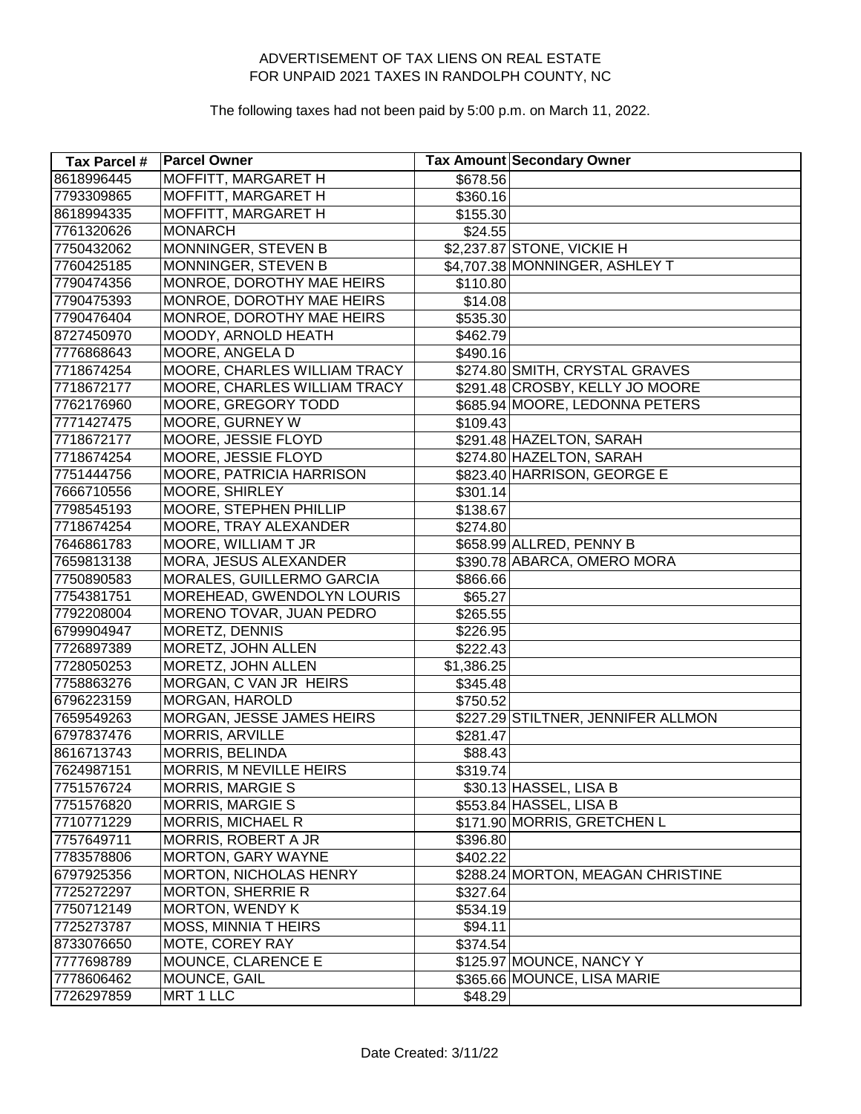| Tax Parcel # | <b>Parcel Owner</b>                 |            | Tax Amount Secondary Owner         |
|--------------|-------------------------------------|------------|------------------------------------|
| 8618996445   | <b>MOFFITT, MARGARET H</b>          | \$678.56   |                                    |
| 7793309865   | MOFFITT, MARGARET H                 | \$360.16   |                                    |
| 8618994335   | MOFFITT, MARGARET H                 | \$155.30   |                                    |
| 7761320626   | <b>MONARCH</b>                      | \$24.55    |                                    |
| 7750432062   | MONNINGER, STEVEN B                 |            | \$2,237.87 STONE, VICKIE H         |
| 7760425185   | MONNINGER, STEVEN B                 |            | \$4,707.38 MONNINGER, ASHLEY T     |
| 7790474356   | MONROE, DOROTHY MAE HEIRS           | \$110.80   |                                    |
| 7790475393   | MONROE, DOROTHY MAE HEIRS           | \$14.08    |                                    |
| 7790476404   | MONROE, DOROTHY MAE HEIRS           | \$535.30   |                                    |
| 8727450970   | MOODY, ARNOLD HEATH                 | \$462.79   |                                    |
| 7776868643   | MOORE, ANGELA D                     | \$490.16   |                                    |
| 7718674254   | MOORE, CHARLES WILLIAM TRACY        |            | \$274.80 SMITH, CRYSTAL GRAVES     |
| 7718672177   | <b>MOORE, CHARLES WILLIAM TRACY</b> |            | \$291.48 CROSBY, KELLY JO MOORE    |
| 7762176960   | MOORE, GREGORY TODD                 |            | \$685.94 MOORE, LEDONNA PETERS     |
| 7771427475   | MOORE, GURNEY W                     | \$109.43   |                                    |
| 7718672177   | MOORE, JESSIE FLOYD                 |            | \$291.48 HAZELTON, SARAH           |
| 7718674254   | MOORE, JESSIE FLOYD                 |            | \$274.80 HAZELTON, SARAH           |
| 7751444756   | <b>MOORE, PATRICIA HARRISON</b>     |            | \$823.40 HARRISON, GEORGE E        |
| 7666710556   | <b>MOORE, SHIRLEY</b>               | \$301.14]  |                                    |
| 7798545193   | MOORE, STEPHEN PHILLIP              | \$138.67   |                                    |
| 7718674254   | MOORE, TRAY ALEXANDER               | \$274.80   |                                    |
| 7646861783   | MOORE, WILLIAM T JR                 |            | \$658.99 ALLRED, PENNY B           |
| 7659813138   | MORA, JESUS ALEXANDER               |            | \$390.78 ABARCA, OMERO MORA        |
| 7750890583   | MORALES, GUILLERMO GARCIA           | \$866.66   |                                    |
| 7754381751   | MOREHEAD, GWENDOLYN LOURIS          | \$65.27    |                                    |
| 7792208004   | MORENO TOVAR, JUAN PEDRO            | \$265.55   |                                    |
| 6799904947   | MORETZ, DENNIS                      | \$226.95   |                                    |
| 7726897389   | MORETZ, JOHN ALLEN                  | \$222.43   |                                    |
| 7728050253   | MORETZ, JOHN ALLEN                  | \$1,386.25 |                                    |
| 7758863276   | MORGAN, C VAN JR HEIRS              | \$345.48   |                                    |
| 6796223159   | <b>MORGAN, HAROLD</b>               | \$750.52   |                                    |
| 7659549263   | MORGAN, JESSE JAMES HEIRS           |            | \$227.29 STILTNER, JENNIFER ALLMON |
| 6797837476   | MORRIS, ARVILLE                     | \$281.47   |                                    |
| 8616713743   | MORRIS, BELINDA                     | \$88.43    |                                    |
| 7624987151   | <b>MORRIS, M NEVILLE HEIRS</b>      | \$319.74   |                                    |
| 7751576724   | <b>MORRIS, MARGIE S</b>             |            | \$30.13 HASSEL, LISA B             |
| 7751576820   | <b>MORRIS, MARGIE S</b>             |            | \$553.84 HASSEL, LISA B            |
| 7710771229   | <b>MORRIS, MICHAEL R</b>            |            | \$171.90 MORRIS, GRETCHEN L        |
| 7757649711   | MORRIS, ROBERT A JR                 | \$396.80   |                                    |
| 7783578806   | <b>MORTON, GARY WAYNE</b>           | \$402.22   |                                    |
| 6797925356   | <b>MORTON, NICHOLAS HENRY</b>       |            | \$288.24 MORTON, MEAGAN CHRISTINE  |
| 7725272297   | <b>MORTON, SHERRIE R</b>            | \$327.64   |                                    |
| 7750712149   | <b>MORTON, WENDY K</b>              | \$534.19   |                                    |
| 7725273787   | <b>MOSS, MINNIA T HEIRS</b>         | \$94.11    |                                    |
| 8733076650   | MOTE, COREY RAY                     | \$374.54   |                                    |
| 7777698789   | MOUNCE, CLARENCE E                  |            | \$125.97 MOUNCE, NANCY Y           |
| 7778606462   | MOUNCE, GAIL                        |            | \$365.66 MOUNCE, LISA MARIE        |
| 7726297859   | MRT 1 LLC                           | \$48.29    |                                    |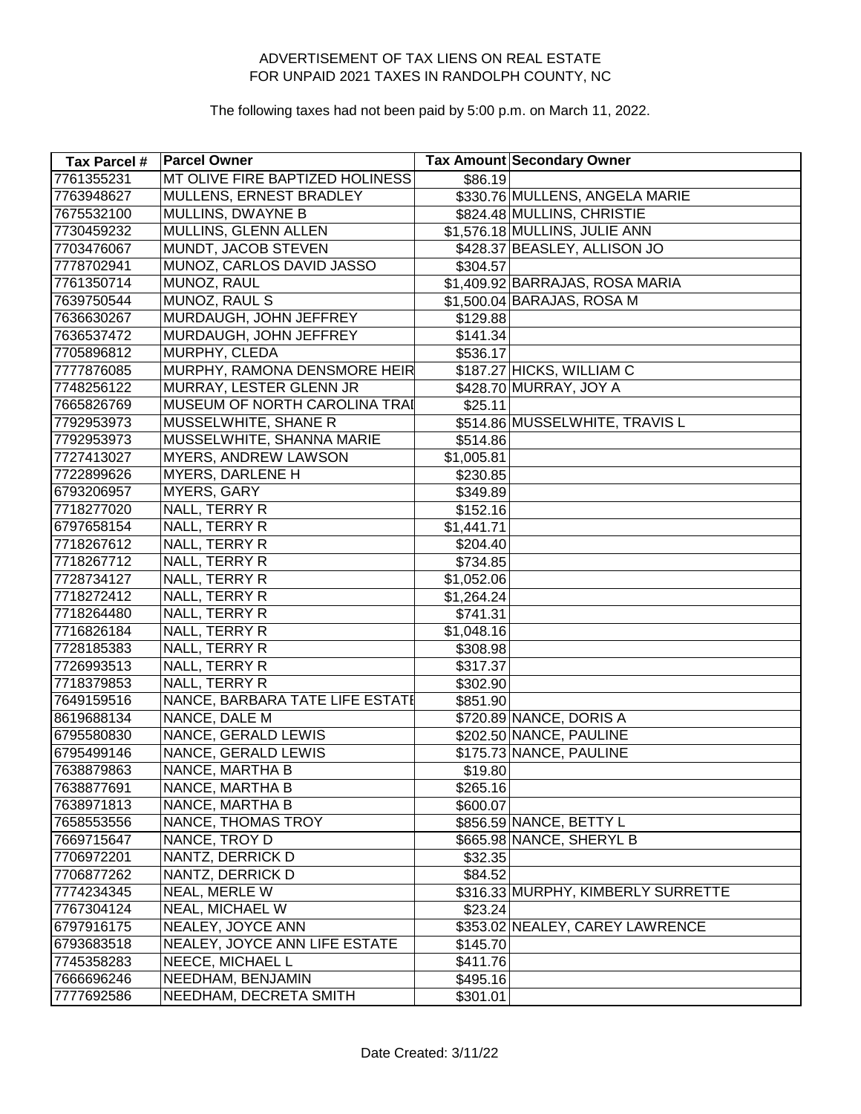| Tax Parcel # | <b>Parcel Owner</b>             |            | <b>Tax Amount Secondary Owner</b>  |
|--------------|---------------------------------|------------|------------------------------------|
| 7761355231   | MT OLIVE FIRE BAPTIZED HOLINESS | \$86.19    |                                    |
| 7763948627   | MULLENS, ERNEST BRADLEY         |            | \$330.76 MULLENS, ANGELA MARIE     |
| 7675532100   | <b>MULLINS, DWAYNE B</b>        |            | \$824.48 MULLINS, CHRISTIE         |
| 7730459232   | MULLINS, GLENN ALLEN            |            | \$1,576.18 MULLINS, JULIE ANN      |
| 7703476067   | MUNDT, JACOB STEVEN             |            | \$428.37 BEASLEY, ALLISON JO       |
| 7778702941   | MUNOZ, CARLOS DAVID JASSO       | \$304.57   |                                    |
| 7761350714   | MUNOZ, RAUL                     |            | \$1,409.92 BARRAJAS, ROSA MARIA    |
| 7639750544   | MUNOZ, RAUL S                   |            | \$1,500.04 BARAJAS, ROSA M         |
| 7636630267   | MURDAUGH, JOHN JEFFREY          | \$129.88   |                                    |
| 7636537472   | MURDAUGH, JOHN JEFFREY          | \$141.34   |                                    |
| 7705896812   | MURPHY, CLEDA                   | \$536.17   |                                    |
| 7777876085   | MURPHY, RAMONA DENSMORE HEIR    |            | \$187.27 HICKS, WILLIAM C          |
| 7748256122   | MURRAY, LESTER GLENN JR         |            | \$428.70 MURRAY, JOY A             |
| 7665826769   | MUSEUM OF NORTH CAROLINA TRAI   | \$25.11    |                                    |
| 7792953973   | MUSSELWHITE, SHANE R            |            | \$514.86 MUSSELWHITE, TRAVIS L     |
| 7792953973   | MUSSELWHITE, SHANNA MARIE       | \$514.86   |                                    |
| 7727413027   | <b>MYERS, ANDREW LAWSON</b>     | \$1,005.81 |                                    |
| 7722899626   | <b>MYERS, DARLENE H</b>         | \$230.85   |                                    |
| 6793206957   | <b>MYERS, GARY</b>              | \$349.89   |                                    |
| 7718277020   | NALL, TERRY R                   | \$152.16   |                                    |
| 6797658154   | NALL, TERRY R                   | \$1,441.71 |                                    |
| 7718267612   | NALL, TERRY R                   | \$204.40   |                                    |
| 7718267712   | NALL, TERRY R                   | \$734.85   |                                    |
| 7728734127   | NALL, TERRY R                   | \$1,052.06 |                                    |
| 7718272412   | NALL, TERRY R                   | \$1,264.24 |                                    |
| 7718264480   | NALL, TERRY R                   | \$741.31   |                                    |
| 7716826184   | NALL, TERRY R                   | \$1,048.16 |                                    |
| 7728185383   | NALL, TERRY R                   | \$308.98   |                                    |
| 7726993513   | NALL, TERRY R                   | \$317.37   |                                    |
| 7718379853   | NALL, TERRY R                   | \$302.90   |                                    |
| 7649159516   | NANCE, BARBARA TATE LIFE ESTATE | \$851.90   |                                    |
| 8619688134   | NANCE, DALE M                   |            | \$720.89 NANCE, DORIS A            |
| 6795580830   | NANCE, GERALD LEWIS             |            | \$202.50 NANCE, PAULINE            |
| 6795499146   | NANCE, GERALD LEWIS             |            | \$175.73 NANCE, PAULINE            |
| 7638879863   | NANCE, MARTHA B                 | \$19.80    |                                    |
| 7638877691   | NANCE, MARTHA B                 | \$265.16   |                                    |
| 7638971813   | NANCE, MARTHA B                 | \$600.07   |                                    |
| 7658553556   | NANCE, THOMAS TROY              |            | \$856.59 NANCE, BETTY L            |
| 7669715647   | NANCE, TROY D                   |            | \$665.98 NANCE, SHERYL B           |
| 7706972201   | NANTZ, DERRICK D                | \$32.35    |                                    |
| 7706877262   | NANTZ, DERRICK D                | \$84.52    |                                    |
| 7774234345   | NEAL, MERLE W                   |            | \$316.33 MURPHY, KIMBERLY SURRETTE |
| 7767304124   | <b>NEAL, MICHAEL W</b>          | \$23.24    |                                    |
| 6797916175   | NEALEY, JOYCE ANN               |            | \$353.02 NEALEY, CAREY LAWRENCE    |
| 6793683518   | NEALEY, JOYCE ANN LIFE ESTATE   | \$145.70   |                                    |
| 7745358283   | <b>NEECE, MICHAEL L</b>         | \$411.76   |                                    |
| 7666696246   | NEEDHAM, BENJAMIN               | \$495.16   |                                    |
| 7777692586   | NEEDHAM, DECRETA SMITH          | \$301.01   |                                    |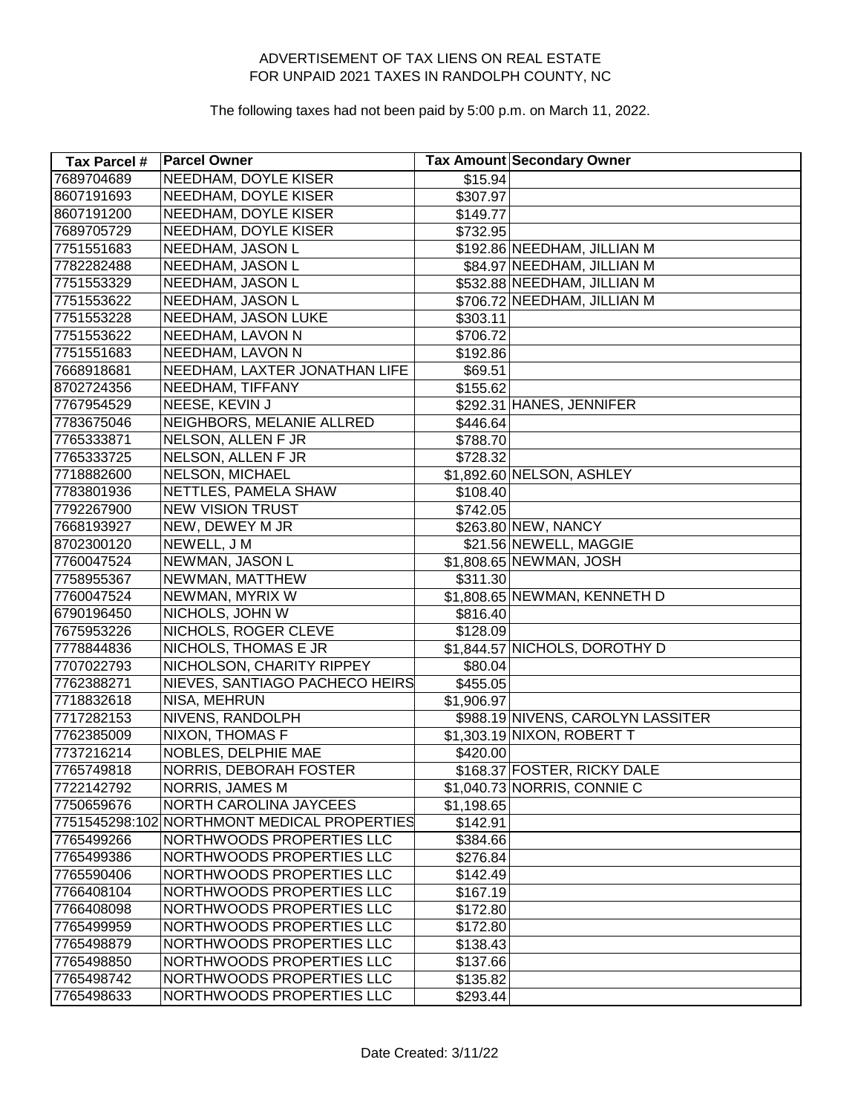| Tax Parcel # | <b>Parcel Owner</b>                         |            | Tax Amount Secondary Owner        |
|--------------|---------------------------------------------|------------|-----------------------------------|
| 7689704689   | <b>NEEDHAM, DOYLE KISER</b>                 | \$15.94    |                                   |
| 8607191693   | NEEDHAM, DOYLE KISER                        | \$307.97   |                                   |
| 8607191200   | NEEDHAM, DOYLE KISER                        | \$149.77   |                                   |
| 7689705729   | <b>NEEDHAM, DOYLE KISER</b>                 | \$732.95   |                                   |
| 7751551683   | NEEDHAM, JASON L                            |            | \$192.86 NEEDHAM, JILLIAN M       |
| 7782282488   | NEEDHAM, JASON L                            |            | \$84.97 NEEDHAM, JILLIAN M        |
| 7751553329   | NEEDHAM, JASON L                            |            | \$532.88 NEEDHAM, JILLIAN M       |
| 7751553622   | NEEDHAM, JASON L                            |            | \$706.72 NEEDHAM, JILLIAN M       |
| 7751553228   | NEEDHAM, JASON LUKE                         | \$303.11   |                                   |
| 7751553622   | NEEDHAM, LAVON N                            | \$706.72   |                                   |
| 7751551683   | NEEDHAM, LAVON N                            | \$192.86   |                                   |
| 7668918681   | NEEDHAM, LAXTER JONATHAN LIFE               | \$69.51    |                                   |
| 8702724356   | NEEDHAM, TIFFANY                            | \$155.62   |                                   |
| 7767954529   | NEESE, KEVIN J                              |            | \$292.31 HANES, JENNIFER          |
| 7783675046   | NEIGHBORS, MELANIE ALLRED                   | \$446.64   |                                   |
| 7765333871   | NELSON, ALLEN F JR                          | \$788.70   |                                   |
| 7765333725   | NELSON, ALLEN F JR                          | \$728.32   |                                   |
| 7718882600   | <b>NELSON, MICHAEL</b>                      |            | \$1,892.60 NELSON, ASHLEY         |
| 7783801936   | NETTLES, PAMELA SHAW                        | \$108.40   |                                   |
| 7792267900   | <b>NEW VISION TRUST</b>                     | \$742.05   |                                   |
| 7668193927   | NEW, DEWEY M JR                             |            | \$263.80 NEW, NANCY               |
| 8702300120   | NEWELL, J M                                 |            | \$21.56 NEWELL, MAGGIE            |
| 7760047524   | NEWMAN, JASON L                             |            | \$1,808.65 NEWMAN, JOSH           |
| 7758955367   | NEWMAN, MATTHEW                             | \$311.30   |                                   |
| 7760047524   | NEWMAN, MYRIX W                             |            | \$1,808.65 NEWMAN, KENNETH D      |
| 6790196450   | NICHOLS, JOHN W                             | \$816.40   |                                   |
| 7675953226   | NICHOLS, ROGER CLEVE                        | \$128.09   |                                   |
| 7778844836   | NICHOLS, THOMAS E JR                        |            | \$1,844.57 NICHOLS, DOROTHY D     |
| 7707022793   | NICHOLSON, CHARITY RIPPEY                   | \$80.04]   |                                   |
| 7762388271   | NIEVES, SANTIAGO PACHECO HEIRS              | \$455.05   |                                   |
| 7718832618   | NISA, MEHRUN                                | \$1,906.97 |                                   |
| 7717282153   | NIVENS, RANDOLPH                            |            | \$988.19 NIVENS, CAROLYN LASSITER |
| 7762385009   | <b>NIXON, THOMAS F</b>                      |            | \$1,303.19 NIXON, ROBERT T        |
| 7737216214   | NOBLES, DELPHIE MAE                         | \$420.00   |                                   |
| 7765749818   | NORRIS, DEBORAH FOSTER                      |            | \$168.37 FOSTER, RICKY DALE       |
| 7722142792   | <b>NORRIS, JAMES M</b>                      |            | \$1,040.73 NORRIS, CONNIE C       |
| 7750659676   | <b>NORTH CAROLINA JAYCEES</b>               | \$1,198.65 |                                   |
|              | 7751545298:102 NORTHMONT MEDICAL PROPERTIES | \$142.91   |                                   |
| 7765499266   | NORTHWOODS PROPERTIES LLC                   | \$384.66   |                                   |
| 7765499386   | NORTHWOODS PROPERTIES LLC                   | \$276.84   |                                   |
| 7765590406   | NORTHWOODS PROPERTIES LLC                   | \$142.49   |                                   |
| 7766408104   | NORTHWOODS PROPERTIES LLC                   | \$167.19   |                                   |
| 7766408098   | NORTHWOODS PROPERTIES LLC                   | \$172.80   |                                   |
| 7765499959   | NORTHWOODS PROPERTIES LLC                   | \$172.80   |                                   |
| 7765498879   | NORTHWOODS PROPERTIES LLC                   | \$138.43   |                                   |
| 7765498850   | NORTHWOODS PROPERTIES LLC                   | \$137.66   |                                   |
| 7765498742   | NORTHWOODS PROPERTIES LLC                   | \$135.82   |                                   |
| 7765498633   | NORTHWOODS PROPERTIES LLC                   | \$293.44   |                                   |